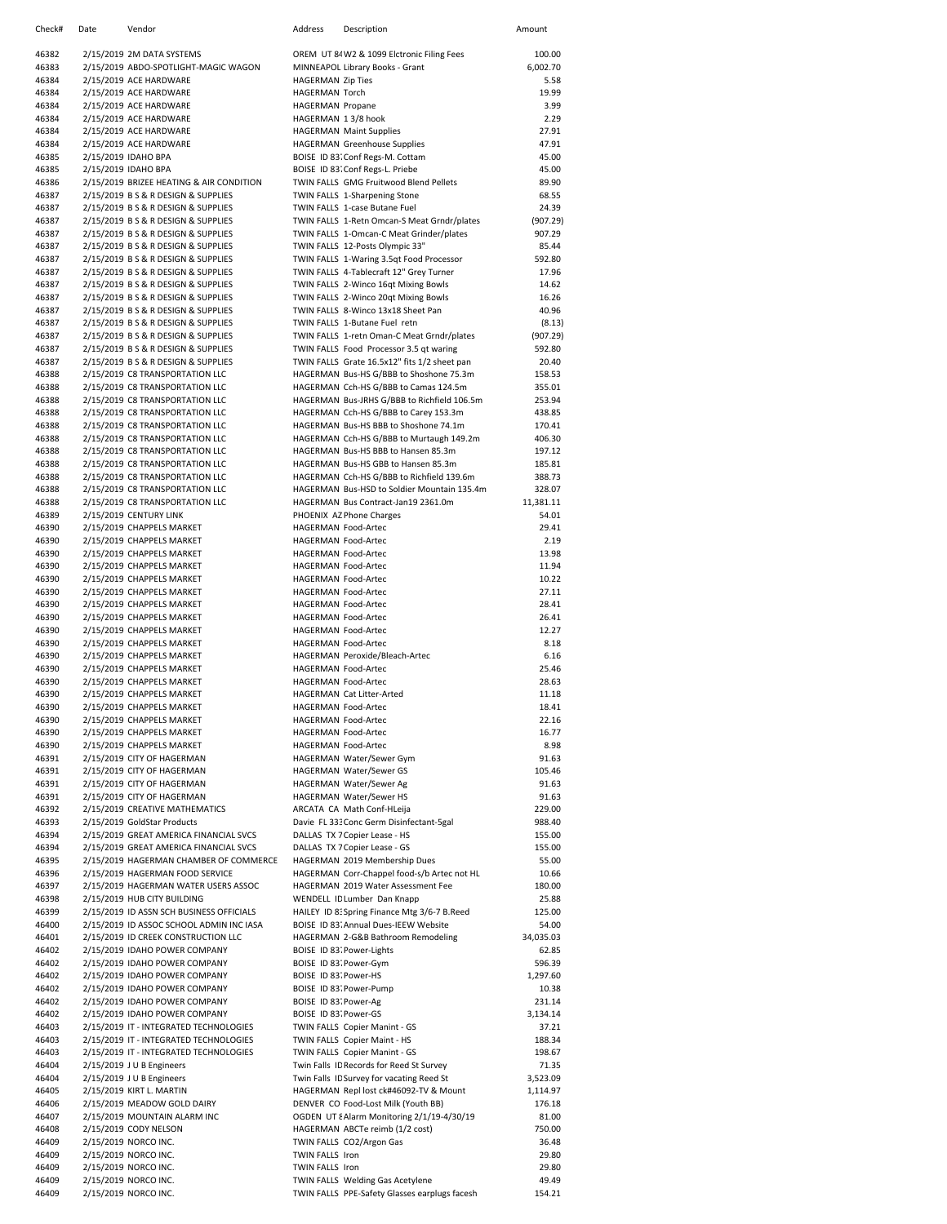| Check#         | Date | Vendor                                                                               | Address                                           | Description                                                                           | Amount             |
|----------------|------|--------------------------------------------------------------------------------------|---------------------------------------------------|---------------------------------------------------------------------------------------|--------------------|
| 46382          |      | 2/15/2019 2M DATA SYSTEMS                                                            |                                                   | OREM UT 84 W2 & 1099 Elctronic Filing Fees                                            | 100.00             |
| 46383          |      | 2/15/2019 ABDO-SPOTLIGHT-MAGIC WAGON                                                 |                                                   | MINNEAPOL Library Books - Grant                                                       | 6,002.70           |
| 46384          |      | 2/15/2019 ACE HARDWARE                                                               | <b>HAGERMAN Zip Ties</b>                          |                                                                                       | 5.58               |
| 46384          |      | 2/15/2019 ACE HARDWARE                                                               | <b>HAGERMAN Torch</b>                             |                                                                                       | 19.99              |
| 46384<br>46384 |      | 2/15/2019 ACE HARDWARE<br>2/15/2019 ACE HARDWARE                                     | <b>HAGERMAN Propane</b><br>HAGERMAN 13/8 hook     |                                                                                       | 3.99<br>2.29       |
| 46384          |      | 2/15/2019 ACE HARDWARE                                                               |                                                   | <b>HAGERMAN Maint Supplies</b>                                                        | 27.91              |
| 46384          |      | 2/15/2019 ACE HARDWARE                                                               |                                                   | <b>HAGERMAN Greenhouse Supplies</b>                                                   | 47.91              |
| 46385          |      | 2/15/2019 IDAHO BPA                                                                  |                                                   | BOISE ID 83. Conf Regs-M. Cottam                                                      | 45.00              |
| 46385          |      | 2/15/2019 IDAHO BPA                                                                  |                                                   | BOISE ID 83. Conf Regs-L. Priebe                                                      | 45.00              |
| 46386          |      | 2/15/2019 BRIZEE HEATING & AIR CONDITION                                             |                                                   | TWIN FALLS GMG Fruitwood Blend Pellets                                                | 89.90              |
| 46387<br>46387 |      | 2/15/2019 B S & R DESIGN & SUPPLIES<br>2/15/2019 B S & R DESIGN & SUPPLIES           |                                                   | TWIN FALLS 1-Sharpening Stone<br>TWIN FALLS 1-case Butane Fuel                        | 68.55<br>24.39     |
| 46387          |      | 2/15/2019 B S & R DESIGN & SUPPLIES                                                  |                                                   | TWIN FALLS 1-Retn Omcan-S Meat Grndr/plates                                           | (907.29)           |
| 46387          |      | 2/15/2019 B S & R DESIGN & SUPPLIES                                                  |                                                   | TWIN FALLS 1-Omcan-C Meat Grinder/plates                                              | 907.29             |
| 46387          |      | 2/15/2019 B S & R DESIGN & SUPPLIES                                                  |                                                   | TWIN FALLS 12-Posts Olympic 33"                                                       | 85.44              |
| 46387          |      | 2/15/2019 B S & R DESIGN & SUPPLIES                                                  |                                                   | TWIN FALLS 1-Waring 3.5qt Food Processor                                              | 592.80             |
| 46387          |      | 2/15/2019 B S & R DESIGN & SUPPLIES                                                  |                                                   | TWIN FALLS 4-Tablecraft 12" Grey Turner                                               | 17.96              |
| 46387          |      | 2/15/2019 B S & R DESIGN & SUPPLIES                                                  |                                                   | TWIN FALLS 2-Winco 16qt Mixing Bowls                                                  | 14.62              |
| 46387<br>46387 |      | 2/15/2019 B S & R DESIGN & SUPPLIES<br>2/15/2019 B S & R DESIGN & SUPPLIES           |                                                   | TWIN FALLS 2-Winco 20qt Mixing Bowls<br>TWIN FALLS 8-Winco 13x18 Sheet Pan            | 16.26<br>40.96     |
| 46387          |      | 2/15/2019 B S & R DESIGN & SUPPLIES                                                  |                                                   | TWIN FALLS 1-Butane Fuel retn                                                         | (8.13)             |
| 46387          |      | 2/15/2019 B S & R DESIGN & SUPPLIES                                                  |                                                   | TWIN FALLS 1-retn Oman-C Meat Grndr/plates                                            | (907.29)           |
| 46387          |      | 2/15/2019 B S & R DESIGN & SUPPLIES                                                  |                                                   | TWIN FALLS Food Processor 3.5 qt waring                                               | 592.80             |
| 46387          |      | 2/15/2019 B S & R DESIGN & SUPPLIES                                                  |                                                   | TWIN FALLS Grate 16.5x12" fits 1/2 sheet pan                                          | 20.40              |
| 46388          |      | 2/15/2019 C8 TRANSPORTATION LLC                                                      |                                                   | HAGERMAN Bus-HS G/BBB to Shoshone 75.3m                                               | 158.53             |
| 46388          |      | 2/15/2019 C8 TRANSPORTATION LLC                                                      |                                                   | HAGERMAN Cch-HS G/BBB to Camas 124.5m                                                 | 355.01             |
| 46388          |      | 2/15/2019 C8 TRANSPORTATION LLC<br>2/15/2019 C8 TRANSPORTATION LLC                   |                                                   | HAGERMAN Bus-JRHS G/BBB to Richfield 106.5m                                           | 253.94             |
| 46388<br>46388 |      | 2/15/2019 C8 TRANSPORTATION LLC                                                      |                                                   | HAGERMAN Cch-HS G/BBB to Carey 153.3m<br>HAGERMAN Bus-HS BBB to Shoshone 74.1m        | 438.85<br>170.41   |
| 46388          |      | 2/15/2019 C8 TRANSPORTATION LLC                                                      |                                                   | HAGERMAN Cch-HS G/BBB to Murtaugh 149.2m                                              | 406.30             |
| 46388          |      | 2/15/2019 C8 TRANSPORTATION LLC                                                      |                                                   | HAGERMAN Bus-HS BBB to Hansen 85.3m                                                   | 197.12             |
| 46388          |      | 2/15/2019 C8 TRANSPORTATION LLC                                                      |                                                   | HAGERMAN Bus-HS GBB to Hansen 85.3m                                                   | 185.81             |
| 46388          |      | 2/15/2019 C8 TRANSPORTATION LLC                                                      |                                                   | HAGERMAN Cch-HS G/BBB to Richfield 139.6m                                             | 388.73             |
| 46388          |      | 2/15/2019 C8 TRANSPORTATION LLC                                                      |                                                   | HAGERMAN Bus-HSD to Soldier Mountain 135.4m                                           | 328.07             |
| 46388          |      | 2/15/2019 C8 TRANSPORTATION LLC                                                      |                                                   | HAGERMAN Bus Contract-Jan19 2361.0m                                                   | 11,381.11          |
| 46389<br>46390 |      | 2/15/2019 CENTURY LINK<br>2/15/2019 CHAPPELS MARKET                                  | HAGERMAN Food-Artec                               | PHOENIX AZ Phone Charges                                                              | 54.01<br>29.41     |
| 46390          |      | 2/15/2019 CHAPPELS MARKET                                                            | <b>HAGERMAN Food-Artec</b>                        |                                                                                       | 2.19               |
| 46390          |      | 2/15/2019 CHAPPELS MARKET                                                            | HAGERMAN Food-Artec                               |                                                                                       | 13.98              |
| 46390          |      | 2/15/2019 CHAPPELS MARKET                                                            | HAGERMAN Food-Artec                               |                                                                                       | 11.94              |
| 46390          |      | 2/15/2019 CHAPPELS MARKET                                                            | HAGERMAN Food-Artec                               |                                                                                       | 10.22              |
| 46390          |      | 2/15/2019 CHAPPELS MARKET                                                            | HAGERMAN Food-Artec                               |                                                                                       | 27.11              |
| 46390          |      | 2/15/2019 CHAPPELS MARKET                                                            | HAGERMAN Food-Artec                               |                                                                                       | 28.41              |
| 46390<br>46390 |      | 2/15/2019 CHAPPELS MARKET<br>2/15/2019 CHAPPELS MARKET                               | HAGERMAN Food-Artec<br><b>HAGERMAN Food-Artec</b> |                                                                                       | 26.41<br>12.27     |
| 46390          |      | 2/15/2019 CHAPPELS MARKET                                                            | HAGERMAN Food-Artec                               |                                                                                       | 8.18               |
| 46390          |      | 2/15/2019 CHAPPELS MARKET                                                            |                                                   | HAGERMAN Peroxide/Bleach-Artec                                                        | 6.16               |
| 46390          |      | 2/15/2019 CHAPPELS MARKET                                                            | HAGERMAN Food-Artec                               |                                                                                       | 25.46              |
| 46390          |      | 2/15/2019 CHAPPELS MARKET                                                            | HAGERMAN Food-Artec                               |                                                                                       | 28.63              |
| 46390          |      | 2/15/2019 CHAPPELS MARKET                                                            |                                                   | <b>HAGERMAN Cat Litter-Arted</b>                                                      | 11.18              |
| 46390          |      | 2/15/2019 CHAPPELS MARKET                                                            | <b>HAGERMAN Food-Artec</b>                        |                                                                                       | 18.41              |
| 46390<br>46390 |      | 2/15/2019 CHAPPELS MARKET<br>2/15/2019 CHAPPELS MARKET                               | HAGERMAN Food-Artec<br>HAGERMAN Food-Artec        |                                                                                       | 22.16<br>16.77     |
| 46390          |      | 2/15/2019 CHAPPELS MARKET                                                            | HAGERMAN Food-Artec                               |                                                                                       | 8.98               |
| 46391          |      | 2/15/2019 CITY OF HAGERMAN                                                           |                                                   | HAGERMAN Water/Sewer Gym                                                              | 91.63              |
| 46391          |      | 2/15/2019 CITY OF HAGERMAN                                                           |                                                   | HAGERMAN Water/Sewer GS                                                               | 105.46             |
| 46391          |      | 2/15/2019 CITY OF HAGERMAN                                                           |                                                   | HAGERMAN Water/Sewer Ag                                                               | 91.63              |
| 46391          |      | 2/15/2019 CITY OF HAGERMAN                                                           |                                                   | HAGERMAN Water/Sewer HS                                                               | 91.63              |
| 46392<br>46393 |      | 2/15/2019 CREATIVE MATHEMATICS<br>2/15/2019 GoldStar Products                        |                                                   | ARCATA CA Math Conf-HLeija                                                            | 229.00<br>988.40   |
| 46394          |      | 2/15/2019 GREAT AMERICA FINANCIAL SVCS                                               |                                                   | Davie FL 33: Conc Germ Disinfectant-5gal<br>DALLAS TX 7 Copier Lease - HS             | 155.00             |
| 46394          |      | 2/15/2019 GREAT AMERICA FINANCIAL SVCS                                               |                                                   | DALLAS TX 7 Copier Lease - GS                                                         | 155.00             |
| 46395          |      | 2/15/2019 HAGERMAN CHAMBER OF COMMERCE                                               |                                                   | HAGERMAN 2019 Membership Dues                                                         | 55.00              |
| 46396          |      | 2/15/2019 HAGERMAN FOOD SERVICE                                                      |                                                   | HAGERMAN Corr-Chappel food-s/b Artec not HL                                           | 10.66              |
| 46397          |      | 2/15/2019 HAGERMAN WATER USERS ASSOC                                                 |                                                   | HAGERMAN 2019 Water Assessment Fee                                                    | 180.00             |
| 46398          |      | 2/15/2019 HUB CITY BUILDING                                                          |                                                   | WENDELL ID Lumber Dan Knapp                                                           | 25.88              |
| 46399          |      | 2/15/2019 ID ASSN SCH BUSINESS OFFICIALS<br>2/15/2019 ID ASSOC SCHOOL ADMIN INC IASA |                                                   | HAILEY ID 8: Spring Finance Mtg 3/6-7 B.Reed<br>BOISE ID 83. Annual Dues-IEEW Website | 125.00             |
| 46400<br>46401 |      | 2/15/2019 ID CREEK CONSTRUCTION LLC                                                  |                                                   | HAGERMAN 2-G&B Bathroom Remodeling                                                    | 54.00<br>34,035.03 |
| 46402          |      | 2/15/2019 IDAHO POWER COMPANY                                                        |                                                   | BOISE ID 83 Power-Lights                                                              | 62.85              |
| 46402          |      | 2/15/2019 IDAHO POWER COMPANY                                                        |                                                   | BOISE ID 83 Power-Gym                                                                 | 596.39             |
| 46402          |      | 2/15/2019 IDAHO POWER COMPANY                                                        | BOISE ID 83 Power-HS                              |                                                                                       | 1,297.60           |
| 46402          |      | 2/15/2019 IDAHO POWER COMPANY                                                        |                                                   | BOISE ID 83 Power-Pump                                                                | 10.38              |
| 46402          |      | 2/15/2019 IDAHO POWER COMPANY                                                        | BOISE ID 83. Power-Ag                             |                                                                                       | 231.14             |
| 46402<br>46403 |      | 2/15/2019 IDAHO POWER COMPANY<br>2/15/2019 IT - INTEGRATED TECHNOLOGIES              | BOISE ID 83. Power-GS                             | TWIN FALLS Copier Manint - GS                                                         | 3,134.14<br>37.21  |
| 46403          |      | 2/15/2019 IT - INTEGRATED TECHNOLOGIES                                               |                                                   | TWIN FALLS Copier Maint - HS                                                          | 188.34             |
| 46403          |      | 2/15/2019 IT - INTEGRATED TECHNOLOGIES                                               |                                                   | TWIN FALLS Copier Manint - GS                                                         | 198.67             |
| 46404          |      | 2/15/2019 JUB Engineers                                                              |                                                   | Twin Falls ID Records for Reed St Survey                                              | 71.35              |
| 46404          |      | 2/15/2019 J U B Engineers                                                            |                                                   | Twin Falls ID Survey for vacating Reed St                                             | 3,523.09           |
| 46405          |      | 2/15/2019 KIRT L. MARTIN                                                             |                                                   | HAGERMAN Repl lost ck#46092-TV & Mount                                                | 1,114.97           |
| 46406          |      | 2/15/2019 MEADOW GOLD DAIRY                                                          |                                                   | DENVER CO Food-Lost Milk (Youth BB)                                                   | 176.18             |
| 46407<br>46408 |      | 2/15/2019 MOUNTAIN ALARM INC<br>2/15/2019 CODY NELSON                                |                                                   | OGDEN UT & Alarm Monitoring 2/1/19-4/30/19<br>HAGERMAN ABCTe reimb (1/2 cost)         | 81.00<br>750.00    |
| 46409          |      | 2/15/2019 NORCO INC.                                                                 |                                                   | TWIN FALLS CO2/Argon Gas                                                              | 36.48              |
| 46409          |      | 2/15/2019 NORCO INC.                                                                 | TWIN FALLS Iron                                   |                                                                                       | 29.80              |
| 46409          |      | 2/15/2019 NORCO INC.                                                                 | TWIN FALLS Iron                                   |                                                                                       | 29.80              |
| 46409          |      | 2/15/2019 NORCO INC.                                                                 |                                                   | TWIN FALLS Welding Gas Acetylene                                                      | 49.49              |
| 46409          |      | 2/15/2019 NORCO INC.                                                                 |                                                   | TWIN FALLS PPE-Safety Glasses earplugs facesh                                         | 154.21             |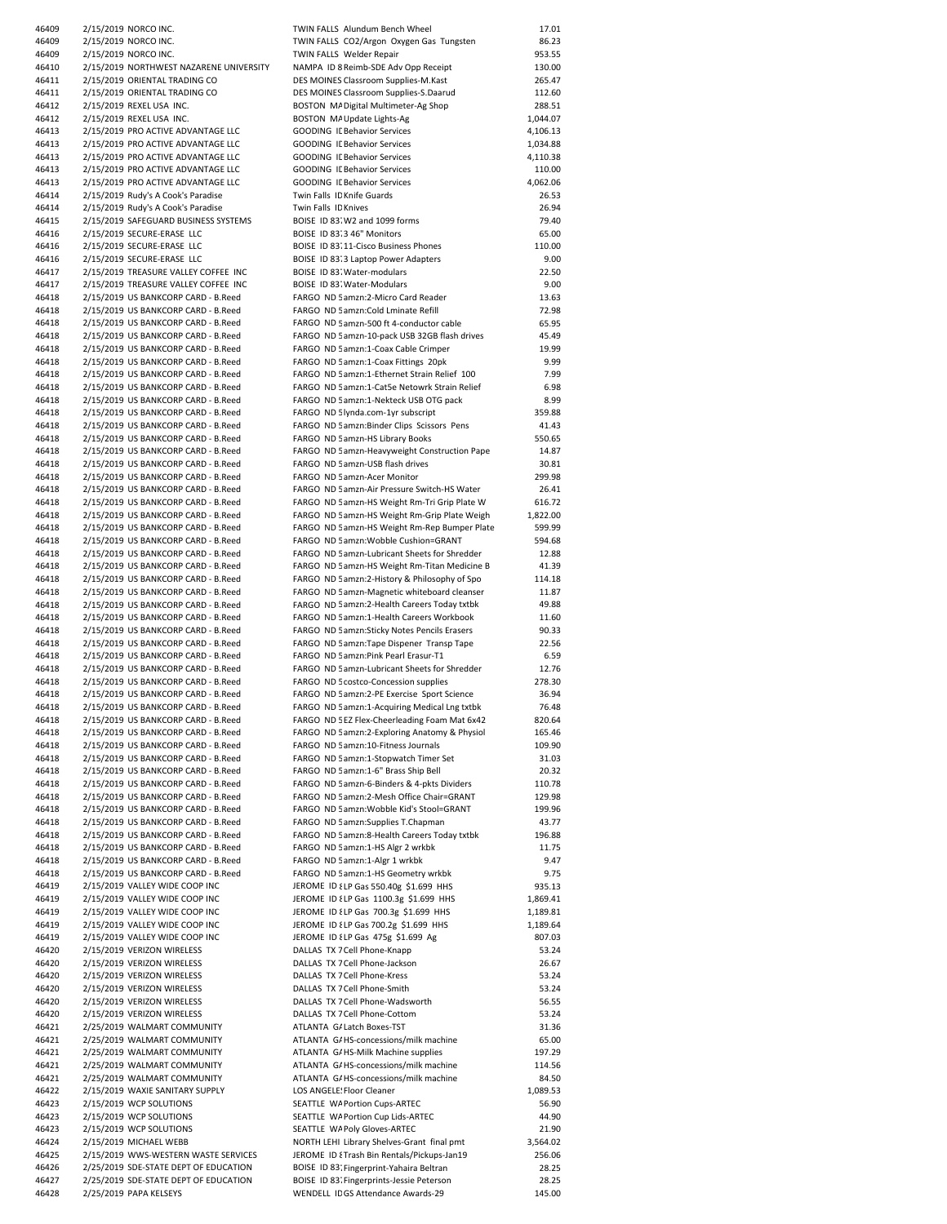| 46409 | 2/15/2019 NORCO INC.                    | TWIN FALLS Alundum Bench Wheel                | 17.01    |
|-------|-----------------------------------------|-----------------------------------------------|----------|
| 46409 |                                         |                                               |          |
|       | 2/15/2019 NORCO INC.                    | TWIN FALLS CO2/Argon Oxygen Gas Tungsten      | 86.23    |
| 46409 | 2/15/2019 NORCO INC.                    | TWIN FALLS Welder Repair                      | 953.55   |
| 46410 | 2/15/2019 NORTHWEST NAZARENE UNIVERSITY | NAMPA ID 8 Reimb-SDE Adv Opp Receipt          | 130.00   |
| 46411 | 2/15/2019 ORIENTAL TRADING CO           | DES MOINES Classroom Supplies-M.Kast          | 265.47   |
| 46411 | 2/15/2019 ORIENTAL TRADING CO           | DES MOINES Classroom Supplies-S.Daarud        | 112.60   |
| 46412 | 2/15/2019 REXEL USA INC.                | BOSTON MA Digital Multimeter-Ag Shop          | 288.51   |
| 46412 | 2/15/2019 REXEL USA INC.                | BOSTON MA Update Lights-Ag                    | 1,044.07 |
|       |                                         |                                               |          |
| 46413 | 2/15/2019 PRO ACTIVE ADVANTAGE LLC      | <b>GOODING IL Behavior Services</b>           | 4,106.13 |
| 46413 | 2/15/2019 PRO ACTIVE ADVANTAGE LLC      | <b>GOODING IL Behavior Services</b>           | 1,034.88 |
| 46413 | 2/15/2019 PRO ACTIVE ADVANTAGE LLC      | <b>GOODING IL Behavior Services</b>           | 4,110.38 |
| 46413 | 2/15/2019 PRO ACTIVE ADVANTAGE LLC      | <b>GOODING IL Behavior Services</b>           | 110.00   |
|       |                                         | <b>GOODING IL Behavior Services</b>           |          |
| 46413 | 2/15/2019 PRO ACTIVE ADVANTAGE LLC      |                                               | 4,062.06 |
| 46414 | 2/15/2019 Rudy's A Cook's Paradise      | Twin Falls ID Knife Guards                    | 26.53    |
| 46414 | 2/15/2019 Rudy's A Cook's Paradise      | Twin Falls ID Knives                          | 26.94    |
| 46415 | 2/15/2019 SAFEGUARD BUSINESS SYSTEMS    | BOISE ID 83. W2 and 1099 forms                | 79.40    |
| 46416 | 2/15/2019 SECURE-ERASE LLC              | BOISE ID 83:3 46" Monitors                    | 65.00    |
|       |                                         |                                               |          |
| 46416 | 2/15/2019 SECURE-ERASE LLC              | BOISE ID 83:11-Cisco Business Phones          | 110.00   |
| 46416 | 2/15/2019 SECURE-ERASE LLC              | BOISE ID 83:3 Laptop Power Adapters           | 9.00     |
| 46417 | 2/15/2019 TREASURE VALLEY COFFEE INC    | BOISE ID 83. Water-modulars                   | 22.50    |
| 46417 | 2/15/2019 TREASURE VALLEY COFFEE INC    | BOISE ID 83. Water-Modulars                   | 9.00     |
| 46418 | 2/15/2019 US BANKCORP CARD - B.Reed     | FARGO ND 5 amzn:2-Micro Card Reader           | 13.63    |
| 46418 | 2/15/2019 US BANKCORP CARD - B.Reed     | FARGO ND 5 amzn: Cold Lminate Refill          | 72.98    |
|       |                                         |                                               |          |
| 46418 | 2/15/2019 US BANKCORP CARD - B.Reed     | FARGO ND 5 amzn-500 ft 4-conductor cable      | 65.95    |
| 46418 | 2/15/2019 US BANKCORP CARD - B.Reed     | FARGO ND 5 amzn-10-pack USB 32GB flash drives | 45.49    |
| 46418 | 2/15/2019 US BANKCORP CARD - B.Reed     | FARGO ND 5 amzn:1-Coax Cable Crimper          | 19.99    |
| 46418 | 2/15/2019 US BANKCORP CARD - B.Reed     | FARGO ND 5 amzn:1-Coax Fittings 20pk          | 9.99     |
| 46418 | 2/15/2019 US BANKCORP CARD - B.Reed     | FARGO ND 5 amzn:1-Ethernet Strain Relief 100  | 7.99     |
|       |                                         |                                               |          |
| 46418 | 2/15/2019 US BANKCORP CARD - B.Reed     | FARGO ND 5 amzn:1-Cat5e Netowrk Strain Relief | 6.98     |
| 46418 | 2/15/2019 US BANKCORP CARD - B.Reed     | FARGO ND 5 amzn:1-Nekteck USB OTG pack        | 8.99     |
| 46418 | 2/15/2019 US BANKCORP CARD - B.Reed     | FARGO ND 5 lynda.com-1yr subscript            | 359.88   |
| 46418 | 2/15/2019 US BANKCORP CARD - B.Reed     | FARGO ND 5 amzn: Binder Clips Scissors Pens   | 41.43    |
|       | 2/15/2019 US BANKCORP CARD - B.Reed     |                                               |          |
| 46418 |                                         | FARGO ND 5 amzn-HS Library Books              | 550.65   |
| 46418 | 2/15/2019 US BANKCORP CARD - B.Reed     | FARGO ND 5 amzn-Heavyweight Construction Pape | 14.87    |
| 46418 | 2/15/2019 US BANKCORP CARD - B.Reed     | FARGO ND 5 amzn-USB flash drives              | 30.81    |
| 46418 | 2/15/2019 US BANKCORP CARD - B.Reed     | FARGO ND 5 amzn-Acer Monitor                  | 299.98   |
| 46418 | 2/15/2019 US BANKCORP CARD - B.Reed     | FARGO ND 5 amzn-Air Pressure Switch-HS Water  | 26.41    |
| 46418 |                                         |                                               | 616.72   |
|       | 2/15/2019 US BANKCORP CARD - B.Reed     | FARGO ND 5 amzn-HS Weight Rm-Tri Grip Plate W |          |
| 46418 | 2/15/2019 US BANKCORP CARD - B.Reed     | FARGO ND 5 amzn-HS Weight Rm-Grip Plate Weigh | 1,822.00 |
| 46418 | 2/15/2019 US BANKCORP CARD - B.Reed     | FARGO ND 5 amzn-HS Weight Rm-Rep Bumper Plate | 599.99   |
| 46418 | 2/15/2019 US BANKCORP CARD - B.Reed     | FARGO ND 5 amzn: Wobble Cushion=GRANT         | 594.68   |
| 46418 | 2/15/2019 US BANKCORP CARD - B.Reed     | FARGO ND 5 amzn-Lubricant Sheets for Shredder | 12.88    |
|       |                                         |                                               | 41.39    |
| 46418 | 2/15/2019 US BANKCORP CARD - B.Reed     | FARGO ND 5 amzn-HS Weight Rm-Titan Medicine B |          |
| 46418 | 2/15/2019 US BANKCORP CARD - B.Reed     | FARGO ND 5 amzn:2-History & Philosophy of Spo | 114.18   |
| 46418 | 2/15/2019 US BANKCORP CARD - B.Reed     | FARGO ND 5 amzn-Magnetic whiteboard cleanser  | 11.87    |
| 46418 | 2/15/2019 US BANKCORP CARD - B.Reed     | FARGO ND 5 amzn:2-Health Careers Today txtbk  | 49.88    |
| 46418 | 2/15/2019 US BANKCORP CARD - B.Reed     | FARGO ND 5 amzn:1-Health Careers Workbook     | 11.60    |
|       |                                         |                                               | 90.33    |
| 46418 | 2/15/2019 US BANKCORP CARD - B.Reed     | FARGO ND 5 amzn: Sticky Notes Pencils Erasers |          |
| 46418 | 2/15/2019 US BANKCORP CARD - B.Reed     | FARGO ND 5 amzn: Tape Dispener Transp Tape    | 22.56    |
| 46418 | 2/15/2019 US BANKCORP CARD - B.Reed     | FARGO ND 5 amzn:Pink Pearl Erasur-T1          | 6.59     |
| 46418 | 2/15/2019 US BANKCORP CARD - B.Reed     | FARGO ND 5 amzn-Lubricant Sheets for Shredder | 12.76    |
| 46418 | 2/15/2019 US BANKCORP CARD - B.Reed     | FARGO ND 5 costco-Concession supplies         | 278.30   |
|       |                                         |                                               |          |
| 46418 | 2/15/2019 US BANKCORP CARD - B.Reed     | FARGO ND 5 amzn:2-PE Exercise Sport Science   | 36.94    |
| 46418 | 2/15/2019 US BANKCORP CARD - B.Reed     | FARGO ND 5 amzn:1-Acquiring Medical Lng txtbk | 76.48    |
| 46418 | 2/15/2019 US BANKCORP CARD - B.Reed     | FARGO ND 5 EZ Flex-Cheerleading Foam Mat 6x42 | 820.64   |
| 46418 | 2/15/2019 US BANKCORP CARD - B.Reed     | FARGO ND 5 amzn:2-Exploring Anatomy & Physiol | 165.46   |
| 46418 | 2/15/2019 US BANKCORP CARD - B.Reed     | FARGO ND 5 amzn:10-Fitness Journals           | 109.90   |
|       |                                         |                                               |          |
| 46418 | 2/15/2019 US BANKCORP CARD - B.Reed     | FARGO ND 5 amzn:1-Stopwatch Timer Set         | 31.03    |
| 46418 | 2/15/2019 US BANKCORP CARD - B.Reed     | FARGO ND 5 amzn:1-6" Brass Ship Bell          | 20.32    |
| 46418 | 2/15/2019 US BANKCORP CARD - B.Reed     | FARGO ND 5 amzn-6-Binders & 4-pkts Dividers   | 110.78   |
| 46418 | 2/15/2019 US BANKCORP CARD - B.Reed     | FARGO ND 5 amzn:2-Mesh Office Chair=GRANT     | 129.98   |
| 46418 | 2/15/2019 US BANKCORP CARD - B.Reed     | FARGO ND 5 amzn: Wobble Kid's Stool=GRANT     | 199.96   |
|       |                                         |                                               |          |
| 46418 | 2/15/2019 US BANKCORP CARD - B.Reed     | FARGO ND 5 amzn: Supplies T. Chapman          | 43.77    |
| 46418 | 2/15/2019 US BANKCORP CARD - B.Reed     | FARGO ND 5 amzn:8-Health Careers Today txtbk  | 196.88   |
| 46418 | 2/15/2019 US BANKCORP CARD - B.Reed     | FARGO ND 5 amzn:1-HS Algr 2 wrkbk             | 11.75    |
| 46418 | 2/15/2019 US BANKCORP CARD - B.Reed     | FARGO ND 5 amzn:1-Algr 1 wrkbk                | 9.47     |
| 46418 | 2/15/2019 US BANKCORP CARD - B.Reed     | FARGO ND 5 amzn:1-HS Geometry wrkbk           | 9.75     |
|       |                                         | JEROME ID { LP Gas 550.40g \$1.699 HHS        |          |
| 46419 | 2/15/2019 VALLEY WIDE COOP INC          |                                               | 935.13   |
| 46419 | 2/15/2019 VALLEY WIDE COOP INC          | JEROME ID { LP Gas 1100.3g \$1.699 HHS        | 1,869.41 |
| 46419 | 2/15/2019 VALLEY WIDE COOP INC          | JEROME ID { LP Gas 700.3g \$1.699 HHS         | 1,189.81 |
| 46419 | 2/15/2019 VALLEY WIDE COOP INC          | JEROME ID { LP Gas 700.2g \$1.699 HHS         | 1,189.64 |
| 46419 | 2/15/2019 VALLEY WIDE COOP INC          | JEROME ID { LP Gas 475g \$1.699 Ag            | 807.03   |
| 46420 | 2/15/2019 VERIZON WIRELESS              | DALLAS TX 7 Cell Phone-Knapp                  | 53.24    |
|       |                                         |                                               |          |
| 46420 | 2/15/2019 VERIZON WIRELESS              | DALLAS TX 7 Cell Phone-Jackson                | 26.67    |
| 46420 | 2/15/2019 VERIZON WIRELESS              | DALLAS TX 7 Cell Phone-Kress                  | 53.24    |
| 46420 | 2/15/2019 VERIZON WIRELESS              | DALLAS TX 7 Cell Phone-Smith                  | 53.24    |
| 46420 | 2/15/2019 VERIZON WIRELESS              | DALLAS TX 7 Cell Phone-Wadsworth              | 56.55    |
|       | 2/15/2019 VERIZON WIRELESS              | DALLAS TX 7 Cell Phone-Cottom                 |          |
| 46420 |                                         |                                               | 53.24    |
| 46421 | 2/25/2019 WALMART COMMUNITY             | ATLANTA G/ Latch Boxes-TST                    | 31.36    |
| 46421 | 2/25/2019 WALMART COMMUNITY             | ATLANTA G/HS-concessions/milk machine         | 65.00    |
| 46421 | 2/25/2019 WALMART COMMUNITY             | ATLANTA G/HS-Milk Machine supplies            | 197.29   |
| 46421 | 2/25/2019 WALMART COMMUNITY             | ATLANTA G/HS-concessions/milk machine         | 114.56   |
|       |                                         |                                               |          |
| 46421 | 2/25/2019 WALMART COMMUNITY             | ATLANTA G/HS-concessions/milk machine         | 84.50    |
| 46422 | 2/15/2019 WAXIE SANITARY SUPPLY         | LOS ANGELE: Floor Cleaner                     | 1,089.53 |
| 46423 | 2/15/2019 WCP SOLUTIONS                 | SEATTLE WA Portion Cups-ARTEC                 | 56.90    |
| 46423 | 2/15/2019 WCP SOLUTIONS                 | SEATTLE WA Portion Cup Lids-ARTEC             | 44.90    |
| 46423 | 2/15/2019 WCP SOLUTIONS                 | SEATTLE WA Poly Gloves-ARTEC                  | 21.90    |
| 46424 |                                         | NORTH LEHI Library Shelves-Grant final pmt    | 3,564.02 |
|       | 2/15/2019 MICHAEL WEBB                  |                                               |          |
| 46425 | 2/15/2019 WWS-WESTERN WASTE SERVICES    | JEROME ID {Trash Bin Rentals/Pickups-Jan19    | 256.06   |
| 46426 | 2/25/2019 SDE-STATE DEPT OF EDUCATION   | BOISE ID 83. Fingerprint-Yahaira Beltran      | 28.25    |
| 46427 | 2/25/2019 SDE-STATE DEPT OF EDUCATION   | BOISE ID 83. Fingerprints-Jessie Peterson     | 28.25    |
| 46428 | 2/25/2019 PAPA KELSEYS                  | WENDELL ID GS Attendance Awards-29            | 145.00   |
|       |                                         |                                               |          |

| WIN FALLS Alundum Bench Wheel                                                                | 17.01              |
|----------------------------------------------------------------------------------------------|--------------------|
| WIN FALLS CO2/Argon Oxygen Gas Tungsten<br>WIN FALLS Welder Repair                           | 86.23<br>953.55    |
| JAMPA ID 8 Reimb-SDE Adv Opp Receipt                                                         | 130.00             |
| <b>DES MOINES Classroom Supplies-M.Kast</b>                                                  | 265.47             |
| ES MOINES Classroom Supplies-S.Daarud                                                        | 112.60             |
| OSTON MA Digital Multimeter-Ag Shop                                                          | 288.51             |
| OSTON MAUpdate Lights-Ag                                                                     | 1,044.07           |
| <b>GOODING IL Behavior Services</b>                                                          | 4,106.13           |
| <b>GOODING IL Behavior Services</b>                                                          | 1,034.88           |
| <b>GOODING IL Behavior Services</b><br><b>GOODING IL Behavior Services</b>                   | 4,110.38<br>110.00 |
| <b>GOODING IL Behavior Services</b>                                                          | 4,062.06           |
| win Falls ID Knife Guards                                                                    | 26.53              |
| win Falls ID Knives                                                                          | 26.94              |
| OISE ID 83. W2 and 1099 forms                                                                | 79.40              |
| OISE ID 83:3 46" Monitors                                                                    | 65.00              |
| OISE ID 83.11-Cisco Business Phones                                                          | 110.00             |
| OISE ID 83.3 Laptop Power Adapters                                                           | 9.00               |
| OISE ID 83. Water-modulars<br>OISE ID 83. Water-Modulars                                     | 22.50<br>9.00      |
| ARGO ND 5 amzn:2-Micro Card Reader                                                           | 13.63              |
| ARGO ND 5 amzn: Cold Lminate Refill                                                          | 72.98              |
| ARGO ND 5 amzn-500 ft 4-conductor cable                                                      | 65.95              |
| ARGO ND 5 amzn-10-pack USB 32GB flash drives                                                 | 45.49              |
| ARGO ND 5 amzn:1-Coax Cable Crimper                                                          | 19.99              |
| ARGO ND 5 amzn:1-Coax Fittings 20pk                                                          | 9.99               |
| ARGO ND 5 amzn:1-Ethernet Strain Relief 100                                                  | 7.99               |
| ARGO ND 5 amzn:1-Cat5e Netowrk Strain Relief                                                 | 6.98               |
| ARGO ND 5 amzn:1-Nekteck USB OTG pack<br>ARGO ND 5 lynda.com-1yr subscript                   | 8.99<br>359.88     |
| ARGO ND 5 amzn:Binder Clips Scissors Pens                                                    | 41.43              |
| ARGO ND 5 amzn-HS Library Books                                                              | 550.65             |
| ARGO ND 5 amzn-Heavyweight Construction Pape                                                 | 14.87              |
| ARGO ND 5 amzn-USB flash drives                                                              | 30.81              |
| ARGO ND 5 amzn-Acer Monitor                                                                  | 299.98             |
| ARGO ND 5 amzn-Air Pressure Switch-HS Water                                                  | 26.41              |
| ARGO ND 5 amzn-HS Weight Rm-Tri Grip Plate W                                                 | 616.72             |
| ARGO ND 5 amzn-HS Weight Rm-Grip Plate Weigh<br>ARGO ND 5 amzn-HS Weight Rm-Rep Bumper Plate | 1,822.00<br>599.99 |
| ARGO ND 5 amzn: Wobble Cushion=GRANT                                                         | 594.68             |
| ARGO ND 5 amzn-Lubricant Sheets for Shredder                                                 | 12.88              |
| ARGO ND 5 amzn-HS Weight Rm-Titan Medicine B                                                 | 41.39              |
| ARGO ND 5 amzn: 2-History & Philosophy of Spo                                                | 114.18             |
| ARGO ND 5 amzn-Magnetic whiteboard cleanser                                                  | 11.87              |
| ARGO ND 5 amzn:2-Health Careers Today txtbk                                                  | 49.88              |
| ARGO ND 5 amzn:1-Health Careers Workbook                                                     | 11.60              |
| ARGO ND 5 amzn: Sticky Notes Pencils Erasers<br>ARGO ND 5 amzn: Tape Dispener Transp Tape    | 90.33<br>22.56     |
| ARGO ND 5 amzn:Pink Pearl Erasur-T1                                                          | 6.59               |
| ARGO ND 5 amzn-Lubricant Sheets for Shredder                                                 | 12.76              |
| ARGO ND 5 costco-Concession supplies                                                         | 278.30             |
| ARGO ND 5 amzn: 2-PE Exercise Sport Science                                                  | 36.94              |
| ARGO ND 5 amzn:1-Acquiring Medical Lng txtbk                                                 | 76.48              |
| ARGO ND 5 EZ Flex-Cheerleading Foam Mat 6x42                                                 | 820.64             |
| ARGO ND 5 amzn: 2-Exploring Anatomy & Physiol                                                | 165.46             |
| ARGO ND 5 amzn:10-Fitness Journals                                                           | 109.90             |
| ARGO ND 5 amzn:1-Stopwatch Timer Set<br>ARGO ND 5 amzn:1-6" Brass Ship Bell                  | 31.03<br>20.32     |
| ARGO ND 5 amzn-6-Binders & 4-pkts Dividers                                                   | 110.78             |
| ARGO ND 5 amzn:2-Mesh Office Chair=GRANT                                                     | 129.98             |
| ARGO ND 5 amzn: Wobble Kid's Stool=GRANT                                                     | 199.96             |
| ARGO ND 5 amzn: Supplies T. Chapman                                                          | 43.77              |
| ARGO ND 5 amzn: 8-Health Careers Today txtbk                                                 | 196.88             |
| ARGO ND 5 amzn:1-HS Algr 2 wrkbk                                                             | 11.75              |
| ARGO ND 5 amzn:1-Algr 1 wrkbk                                                                | 9.47               |
| ARGO ND 5 amzn:1-HS Geometry wrkbk<br>EROME ID { LP Gas 550.40g \$1.699 HHS                  | 9.75<br>935.13     |
| EROME ID {LP Gas 1100.3g \$1.699 HHS                                                         | 1,869.41           |
| EROME ID {LP Gas 700.3g \$1.699 HHS                                                          | 1,189.81           |
| EROME ID {LP Gas 700.2g \$1.699 HHS                                                          | 1,189.64           |
| EROME ID {LP Gas 475g \$1.699 Ag                                                             | 807.03             |
| ALLAS TX 7 Cell Phone-Knapp                                                                  | 53.24              |
| ALLAS TX 7 Cell Phone-Jackson                                                                | 26.67              |
| ALLAS TX 7 Cell Phone-Kress                                                                  | 53.24              |
| ALLAS TX 7 Cell Phone-Smith<br>ALLAS TX 7 Cell Phone-Wadsworth                               | 53.24<br>56.55     |
| ALLAS TX 7 Cell Phone-Cottom                                                                 | 53.24              |
| TLANTA G/ Latch Boxes-TST                                                                    | 31.36              |
| TLANTA G/HS-concessions/milk machine                                                         | 65.00              |
| TLANTA G/HS-Milk Machine supplies                                                            | 197.29             |
| TLANTA G/HS-concessions/milk machine                                                         | 114.56             |
| TLANTA G/HS-concessions/milk machine                                                         | 84.50              |
| OS ANGELE: Floor Cleaner                                                                     | 1,089.53           |
| EATTLE WA Portion Cups-ARTEC<br>EATTLE WA Portion Cup Lids-ARTEC                             | 56.90<br>44.90     |
| EATTLE WA Poly Gloves-ARTEC                                                                  | 21.90              |
| <b>JORTH LEHI Library Shelves-Grant final pmt</b>                                            | 3,564.02           |
| EROME ID {Trash Bin Rentals/Pickups-Jan19                                                    | 256.06             |
| OISE ID 83. Fingerprint-Yahaira Beltran                                                      | 28.25              |
| OISE ID 83. Fingerprints-Jessie Peterson                                                     | 28.25              |
| VENDELL ID GS Attendance Awards-29                                                           | 145.00             |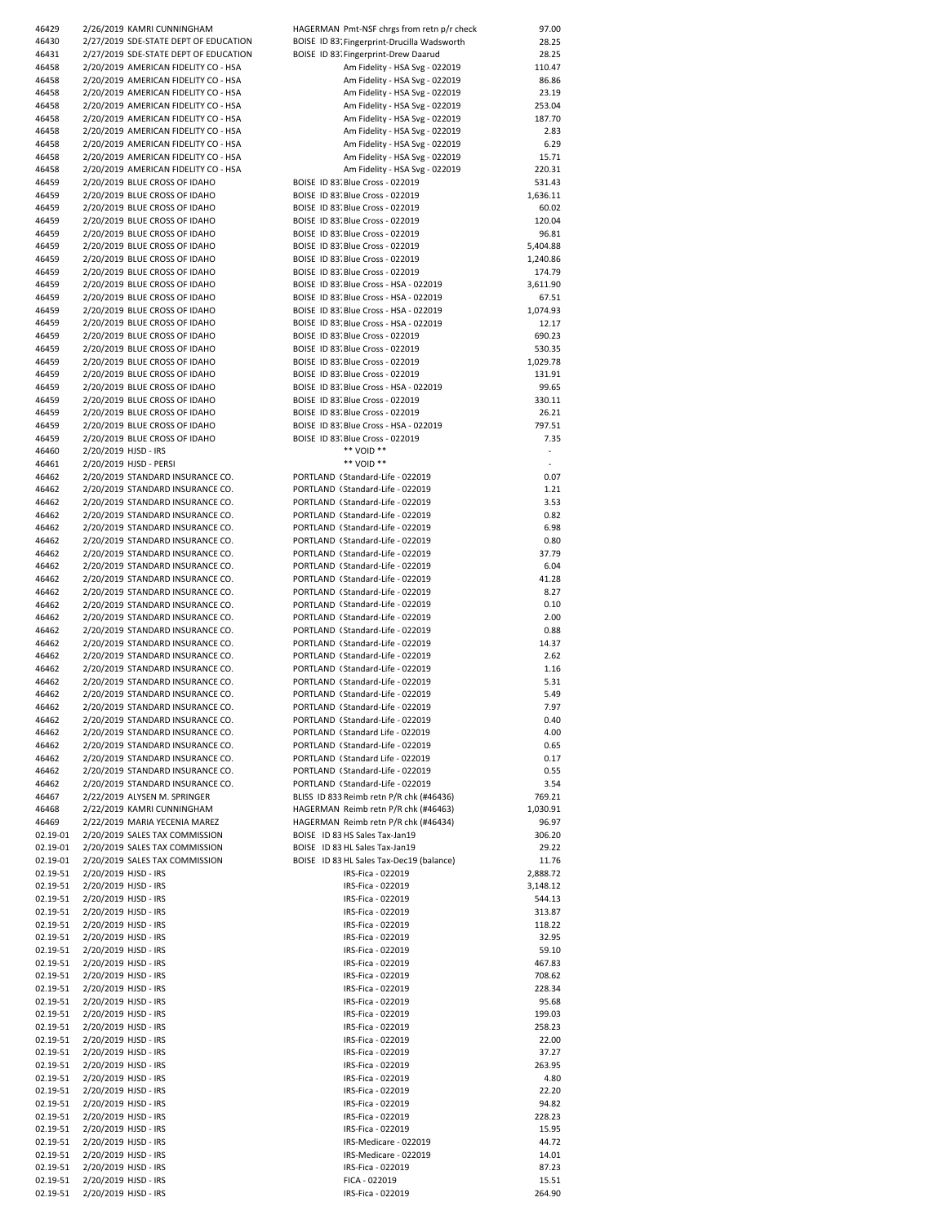| 46429    | 2/26/2019 KAMRI CUNNINGHAM            | HAGERMAN Pmt-NSF chrgs from retn p/r check  | 97.00    |
|----------|---------------------------------------|---------------------------------------------|----------|
| 46430    | 2/27/2019 SDE-STATE DEPT OF EDUCATION | BOISE ID 83. Fingerprint-Drucilla Wadsworth | 28.25    |
| 46431    | 2/27/2019 SDE-STATE DEPT OF EDUCATION | BOISE ID 83. Fingerprint-Drew Daarud        | 28.25    |
| 46458    | 2/20/2019 AMERICAN FIDELITY CO - HSA  | Am Fidelity - HSA Svg - 022019              | 110.47   |
|          |                                       |                                             |          |
| 46458    | 2/20/2019 AMERICAN FIDELITY CO - HSA  | Am Fidelity - HSA Svg - 022019              | 86.86    |
| 46458    | 2/20/2019 AMERICAN FIDELITY CO - HSA  | Am Fidelity - HSA Svg - 022019              | 23.19    |
| 46458    | 2/20/2019 AMERICAN FIDELITY CO - HSA  | Am Fidelity - HSA Svg - 022019              | 253.04   |
| 46458    | 2/20/2019 AMERICAN FIDELITY CO - HSA  | Am Fidelity - HSA Svg - 022019              | 187.70   |
| 46458    | 2/20/2019 AMERICAN FIDELITY CO - HSA  | Am Fidelity - HSA Svg - 022019              | 2.83     |
| 46458    | 2/20/2019 AMERICAN FIDELITY CO - HSA  | Am Fidelity - HSA Svg - 022019              | 6.29     |
|          |                                       |                                             |          |
| 46458    | 2/20/2019 AMERICAN FIDELITY CO - HSA  | Am Fidelity - HSA Svg - 022019              | 15.71    |
| 46458    | 2/20/2019 AMERICAN FIDELITY CO - HSA  | Am Fidelity - HSA Svg - 022019              | 220.31   |
| 46459    | 2/20/2019 BLUE CROSS OF IDAHO         | BOISE ID 83. Blue Cross - 022019            | 531.43   |
| 46459    | 2/20/2019 BLUE CROSS OF IDAHO         | BOISE ID 83. Blue Cross - 022019            | 1,636.11 |
| 46459    | 2/20/2019 BLUE CROSS OF IDAHO         | BOISE ID 83. Blue Cross - 022019            | 60.02    |
|          |                                       |                                             |          |
| 46459    | 2/20/2019 BLUE CROSS OF IDAHO         | BOISE ID 83. Blue Cross - 022019            | 120.04   |
| 46459    | 2/20/2019 BLUE CROSS OF IDAHO         | BOISE ID 83. Blue Cross - 022019            | 96.81    |
| 46459    | 2/20/2019 BLUE CROSS OF IDAHO         | BOISE ID 83. Blue Cross - 022019            | 5,404.88 |
| 46459    | 2/20/2019 BLUE CROSS OF IDAHO         | BOISE ID 83. Blue Cross - 022019            | 1,240.86 |
| 46459    | 2/20/2019 BLUE CROSS OF IDAHO         | BOISE ID 83. Blue Cross - 022019            | 174.79   |
|          |                                       |                                             |          |
| 46459    | 2/20/2019 BLUE CROSS OF IDAHO         | BOISE ID 83. Blue Cross - HSA - 022019      | 3,611.90 |
| 46459    | 2/20/2019 BLUE CROSS OF IDAHO         | BOISE ID 83 Blue Cross - HSA - 022019       | 67.51    |
| 46459    | 2/20/2019 BLUE CROSS OF IDAHO         | BOISE ID 83. Blue Cross - HSA - 022019      | 1,074.93 |
| 46459    | 2/20/2019 BLUE CROSS OF IDAHO         | BOISE ID 83 Blue Cross - HSA - 022019       | 12.17    |
| 46459    | 2/20/2019 BLUE CROSS OF IDAHO         | BOISE ID 83. Blue Cross - 022019            | 690.23   |
|          |                                       |                                             |          |
| 46459    | 2/20/2019 BLUE CROSS OF IDAHO         | BOISE ID 83. Blue Cross - 022019            | 530.35   |
| 46459    | 2/20/2019 BLUE CROSS OF IDAHO         | BOISE ID 83. Blue Cross - 022019            | 1,029.78 |
| 46459    | 2/20/2019 BLUE CROSS OF IDAHO         | BOISE ID 83. Blue Cross - 022019            | 131.91   |
| 46459    | 2/20/2019 BLUE CROSS OF IDAHO         | BOISE ID 83. Blue Cross - HSA - 022019      | 99.65    |
| 46459    | 2/20/2019 BLUE CROSS OF IDAHO         | BOISE ID 83. Blue Cross - 022019            | 330.11   |
|          |                                       |                                             |          |
| 46459    | 2/20/2019 BLUE CROSS OF IDAHO         | BOISE ID 83. Blue Cross - 022019            | 26.21    |
| 46459    | 2/20/2019 BLUE CROSS OF IDAHO         | BOISE ID 83. Blue Cross - HSA - 022019      | 797.51   |
| 46459    | 2/20/2019 BLUE CROSS OF IDAHO         | BOISE ID 83. Blue Cross - 022019            | 7.35     |
|          |                                       | ** VOID **                                  |          |
| 46460    | 2/20/2019 HJSD - IRS                  |                                             |          |
| 46461    | 2/20/2019 HJSD - PERSI                | ** VOID **                                  | ٠        |
| 46462    | 2/20/2019 STANDARD INSURANCE CO.      | PORTLAND (Standard-Life - 022019            | 0.07     |
| 46462    | 2/20/2019 STANDARD INSURANCE CO.      | PORTLAND (Standard-Life - 022019            | 1.21     |
| 46462    | 2/20/2019 STANDARD INSURANCE CO.      | PORTLAND (Standard-Life - 022019            | 3.53     |
|          |                                       |                                             |          |
| 46462    | 2/20/2019 STANDARD INSURANCE CO.      | PORTLAND (Standard-Life - 022019            | 0.82     |
| 46462    | 2/20/2019 STANDARD INSURANCE CO.      | PORTLAND (Standard-Life - 022019            | 6.98     |
| 46462    | 2/20/2019 STANDARD INSURANCE CO.      | PORTLAND (Standard-Life - 022019            | 0.80     |
| 46462    | 2/20/2019 STANDARD INSURANCE CO.      | PORTLAND (Standard-Life - 022019            | 37.79    |
|          | 2/20/2019 STANDARD INSURANCE CO.      | PORTLAND (Standard-Life - 022019            | 6.04     |
| 46462    |                                       |                                             |          |
| 46462    | 2/20/2019 STANDARD INSURANCE CO.      | PORTLAND (Standard-Life - 022019            | 41.28    |
| 46462    | 2/20/2019 STANDARD INSURANCE CO.      | PORTLAND (Standard-Life - 022019            | 8.27     |
| 46462    | 2/20/2019 STANDARD INSURANCE CO.      | PORTLAND (Standard-Life - 022019            | 0.10     |
| 46462    | 2/20/2019 STANDARD INSURANCE CO.      | PORTLAND (Standard-Life - 022019            | 2.00     |
|          |                                       |                                             |          |
| 46462    | 2/20/2019 STANDARD INSURANCE CO.      | PORTLAND (Standard-Life - 022019            | 0.88     |
| 46462    | 2/20/2019 STANDARD INSURANCE CO.      | PORTLAND (Standard-Life - 022019            | 14.37    |
| 46462    | 2/20/2019 STANDARD INSURANCE CO.      | PORTLAND (Standard-Life - 022019            | 2.62     |
| 46462    | 2/20/2019 STANDARD INSURANCE CO.      | PORTLAND (Standard-Life - 022019            | 1.16     |
| 46462    | 2/20/2019 STANDARD INSURANCE CO.      | PORTLAND (Standard-Life - 022019            | 5.31     |
|          |                                       |                                             |          |
| 46462    | 2/20/2019 STANDARD INSURANCE CO.      | PORTLAND (Standard-Life - 022019            | 5.49     |
| 46462    | 2/20/2019 STANDARD INSURANCE CO.      | PORTLAND (Standard-Life - 022019            | 7.97     |
| 46462    | 2/20/2019 STANDARD INSURANCE CO.      | PORTLAND (Standard-Life - 022019            | 0.40     |
| 46462    | 2/20/2019 STANDARD INSURANCE CO.      | PORTLAND (Standard Life - 022019            | 4.00     |
| 46462    | 2/20/2019 STANDARD INSURANCE CO.      | PORTLAND (Standard-Life - 022019            | 0.65     |
|          |                                       |                                             |          |
| 46462    | 2/20/2019 STANDARD INSURANCE CO.      | PORTLAND (Standard Life - 022019            | 0.17     |
| 46462    | 2/20/2019 STANDARD INSURANCE CO.      | PORTLAND (Standard-Life - 022019            | 0.55     |
| 46462    | 2/20/2019 STANDARD INSURANCE CO.      | PORTLAND (Standard-Life - 022019            | 3.54     |
| 46467    | 2/22/2019 ALYSEN M. SPRINGER          | BLISS ID 833 Reimb retn P/R chk (#46436)    | 769.21   |
|          |                                       |                                             |          |
| 46468    | 2/22/2019 KAMRI CUNNINGHAM            | HAGERMAN Reimb retn P/R chk (#46463)        | 1,030.91 |
| 46469    | 2/22/2019 MARIA YECENIA MAREZ         | HAGERMAN Reimb retn P/R chk (#46434)        | 96.97    |
| 02.19-01 | 2/20/2019 SALES TAX COMMISSION        | BOISE ID 83 HS Sales Tax-Jan19              | 306.20   |
| 02.19-01 | 2/20/2019 SALES TAX COMMISSION        | BOISE ID 83 HL Sales Tax-Jan19              | 29.22    |
| 02.19-01 | 2/20/2019 SALES TAX COMMISSION        | BOISE ID 83 HL Sales Tax-Dec19 (balance)    | 11.76    |
|          |                                       |                                             |          |
| 02.19-51 | 2/20/2019 HJSD - IRS                  | IRS-Fica - 022019                           | 2,888.72 |
| 02.19-51 | 2/20/2019 HJSD - IRS                  | IRS-Fica - 022019                           | 3,148.12 |
| 02.19-51 | 2/20/2019 HJSD - IRS                  | IRS-Fica - 022019                           | 544.13   |
| 02.19-51 | 2/20/2019 HJSD - IRS                  | IRS-Fica - 022019                           | 313.87   |
| 02.19-51 |                                       |                                             | 118.22   |
|          | 2/20/2019 HJSD - IRS                  | IRS-Fica - 022019                           |          |
| 02.19-51 | 2/20/2019 HJSD - IRS                  | IRS-Fica - 022019                           | 32.95    |
| 02.19-51 | 2/20/2019 HJSD - IRS                  | IRS-Fica - 022019                           | 59.10    |
| 02.19-51 | 2/20/2019 HJSD - IRS                  | IRS-Fica - 022019                           | 467.83   |
| 02.19-51 | 2/20/2019 HJSD - IRS                  | IRS-Fica - 022019                           | 708.62   |
|          |                                       |                                             |          |
| 02.19-51 | 2/20/2019 HJSD - IRS                  | IRS-Fica - 022019                           | 228.34   |
| 02.19-51 | 2/20/2019 HJSD - IRS                  | IRS-Fica - 022019                           | 95.68    |
| 02.19-51 | 2/20/2019 HJSD - IRS                  | IRS-Fica - 022019                           | 199.03   |
| 02.19-51 | 2/20/2019 HJSD - IRS                  | IRS-Fica - 022019                           | 258.23   |
| 02.19-51 | 2/20/2019 HJSD - IRS                  | IRS-Fica - 022019                           | 22.00    |
|          |                                       |                                             |          |
| 02.19-51 | 2/20/2019 HJSD - IRS                  | IRS-Fica - 022019                           | 37.27    |
| 02.19-51 | 2/20/2019 HJSD - IRS                  | IRS-Fica - 022019                           | 263.95   |
| 02.19-51 | 2/20/2019 HJSD - IRS                  | IRS-Fica - 022019                           | 4.80     |
| 02.19-51 | 2/20/2019 HJSD - IRS                  | IRS-Fica - 022019                           | 22.20    |
| 02.19-51 | 2/20/2019 HJSD - IRS                  | IRS-Fica - 022019                           | 94.82    |
|          |                                       |                                             |          |
| 02.19-51 | 2/20/2019 HJSD - IRS                  | IRS-Fica - 022019                           | 228.23   |
| 02.19-51 | 2/20/2019 HJSD - IRS                  | IRS-Fica - 022019                           | 15.95    |
| 02.19-51 | 2/20/2019 HJSD - IRS                  | IRS-Medicare - 022019                       | 44.72    |
| 02.19-51 | 2/20/2019 HJSD - IRS                  | IRS-Medicare - 022019                       | 14.01    |
|          |                                       |                                             |          |
| 02.19-51 | 2/20/2019 HJSD - IRS                  | IRS-Fica - 022019                           | 87.23    |
| 02.19-51 | 2/20/2019 HJSD - IRS                  | FICA - 022019                               | 15.51    |
| 02.19-51 | 2/20/2019 HJSD - IRS                  | IRS-Fica - 022019                           | 264.90   |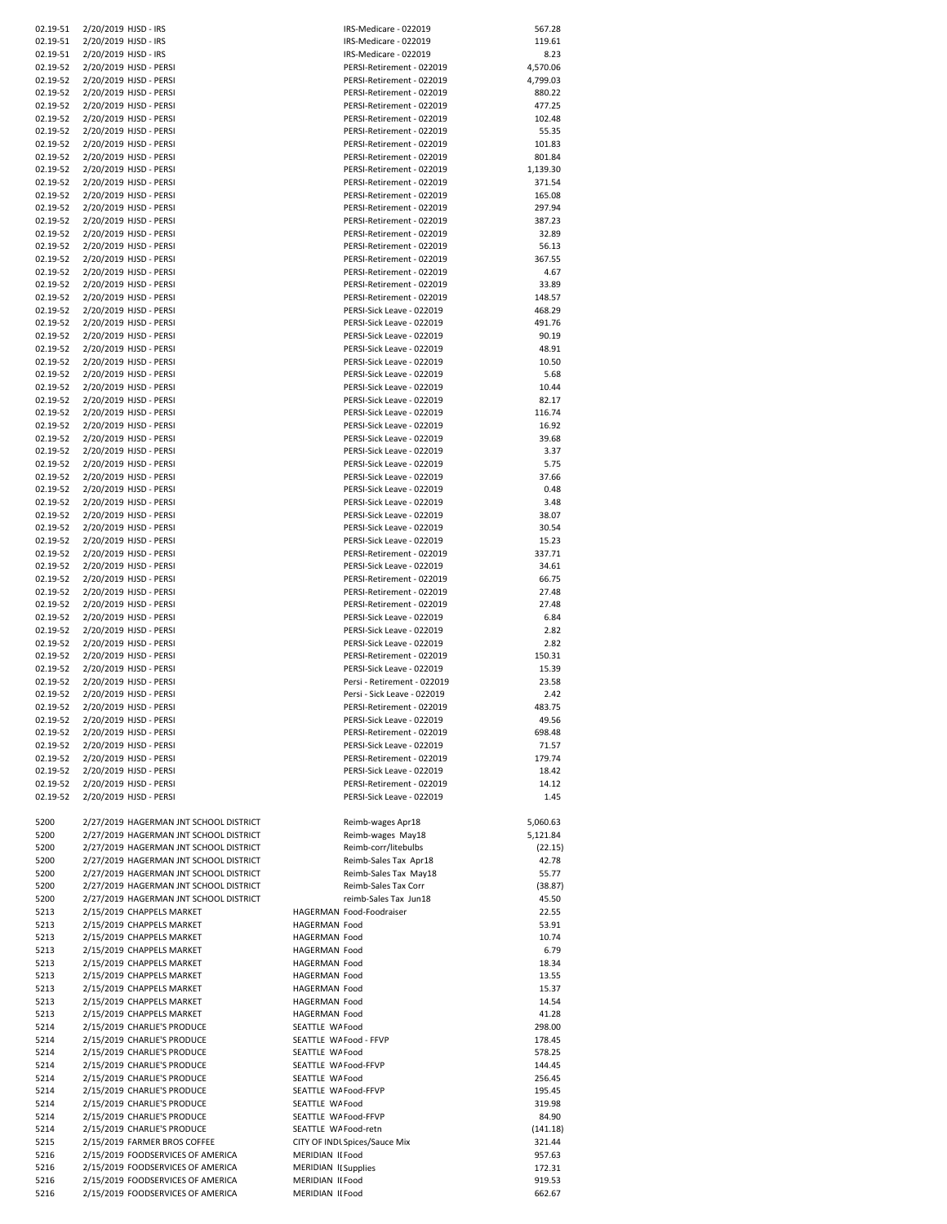| 02.19-51     | 2/20/2019 HJSD - IRS                                                   | IRS-Medicare - 022019                | 567.28           |
|--------------|------------------------------------------------------------------------|--------------------------------------|------------------|
| 02.19-51     | 2/20/2019 HJSD - IRS                                                   | IRS-Medicare - 022019                | 119.61           |
|              |                                                                        |                                      |                  |
| 02.19-51     | 2/20/2019 HJSD - IRS                                                   | IRS-Medicare - 022019                | 8.23             |
| 02.19-52     | 2/20/2019 HJSD - PERSI                                                 | PERSI-Retirement - 022019            | 4,570.06         |
| 02.19-52     | 2/20/2019 HJSD - PERSI                                                 | PERSI-Retirement - 022019            | 4,799.03         |
| 02.19-52     | 2/20/2019 HJSD - PERSI                                                 | PERSI-Retirement - 022019            | 880.22           |
| 02.19-52     | 2/20/2019 HJSD - PERSI                                                 | PERSI-Retirement - 022019            | 477.25           |
| 02.19-52     | 2/20/2019 HJSD - PERSI                                                 | PERSI-Retirement - 022019            | 102.48           |
| 02.19-52     | 2/20/2019 HJSD - PERSI                                                 | PERSI-Retirement - 022019            | 55.35            |
| 02.19-52     | 2/20/2019 HJSD - PERSI                                                 | PERSI-Retirement - 022019            | 101.83           |
| 02.19-52     | 2/20/2019 HJSD - PERSI                                                 | PERSI-Retirement - 022019            | 801.84           |
| 02.19-52     | 2/20/2019 HJSD - PERSI                                                 | PERSI-Retirement - 022019            | 1,139.30         |
| 02.19-52     | 2/20/2019 HJSD - PERSI                                                 | PERSI-Retirement - 022019            | 371.54           |
| 02.19-52     | 2/20/2019 HJSD - PERSI                                                 | PERSI-Retirement - 022019            | 165.08           |
| 02.19-52     | 2/20/2019 HJSD - PERSI                                                 | PERSI-Retirement - 022019            | 297.94           |
| 02.19-52     | 2/20/2019 HJSD - PERSI                                                 | PERSI-Retirement - 022019            | 387.23           |
|              |                                                                        | PERSI-Retirement - 022019            |                  |
| 02.19-52     | 2/20/2019 HJSD - PERSI                                                 |                                      | 32.89            |
| 02.19-52     | 2/20/2019 HJSD - PERSI                                                 | PERSI-Retirement - 022019            | 56.13            |
| 02.19-52     | 2/20/2019 HJSD - PERSI                                                 | PERSI-Retirement - 022019            | 367.55           |
| 02.19-52     | 2/20/2019 HJSD - PERSI                                                 | PERSI-Retirement - 022019            | 4.67             |
| 02.19-52     | 2/20/2019 HJSD - PERSI                                                 | PERSI-Retirement - 022019            | 33.89            |
| 02.19-52     | 2/20/2019 HJSD - PERSI                                                 | PERSI-Retirement - 022019            | 148.57           |
| 02.19-52     | 2/20/2019 HJSD - PERSI                                                 | PERSI-Sick Leave - 022019            | 468.29           |
| 02.19-52     | 2/20/2019 HJSD - PERSI                                                 | PERSI-Sick Leave - 022019            | 491.76           |
| 02.19-52     | 2/20/2019 HJSD - PERSI                                                 | PERSI-Sick Leave - 022019            | 90.19            |
| 02.19-52     | 2/20/2019 HJSD - PERSI                                                 | PERSI-Sick Leave - 022019            | 48.91            |
| 02.19-52     | 2/20/2019 HJSD - PERSI                                                 | PERSI-Sick Leave - 022019            | 10.50            |
| 02.19-52     | 2/20/2019 HJSD - PERSI                                                 | PERSI-Sick Leave - 022019            | 5.68             |
| 02.19-52     | 2/20/2019 HJSD - PERSI                                                 | PERSI-Sick Leave - 022019            | 10.44            |
| 02.19-52     | 2/20/2019 HJSD - PERSI                                                 | PERSI-Sick Leave - 022019            | 82.17            |
| 02.19-52     | 2/20/2019 HJSD - PERSI                                                 | PERSI-Sick Leave - 022019            | 116.74           |
| 02.19-52     | 2/20/2019 HJSD - PERSI                                                 | PERSI-Sick Leave - 022019            | 16.92            |
|              |                                                                        |                                      |                  |
| 02.19-52     | 2/20/2019 HJSD - PERSI                                                 | PERSI-Sick Leave - 022019            | 39.68            |
| 02.19-52     | 2/20/2019 HJSD - PERSI                                                 | PERSI-Sick Leave - 022019            | 3.37             |
| 02.19-52     | 2/20/2019 HJSD - PERSI                                                 | PERSI-Sick Leave - 022019            | 5.75             |
| 02.19-52     | 2/20/2019 HJSD - PERSI                                                 | PERSI-Sick Leave - 022019            | 37.66            |
| 02.19-52     | 2/20/2019 HJSD - PERSI                                                 | PERSI-Sick Leave - 022019            | 0.48             |
| 02.19-52     | 2/20/2019 HJSD - PERSI                                                 | PERSI-Sick Leave - 022019            | 3.48             |
| 02.19-52     | 2/20/2019 HJSD - PERSI                                                 | PERSI-Sick Leave - 022019            | 38.07            |
| 02.19-52     | 2/20/2019 HJSD - PERSI                                                 | PERSI-Sick Leave - 022019            | 30.54            |
| 02.19-52     | 2/20/2019 HJSD - PERSI                                                 | PERSI-Sick Leave - 022019            | 15.23            |
| 02.19-52     | 2/20/2019 HJSD - PERSI                                                 | PERSI-Retirement - 022019            | 337.71           |
| 02.19-52     | 2/20/2019 HJSD - PERSI                                                 | PERSI-Sick Leave - 022019            | 34.61            |
| 02.19-52     | 2/20/2019 HJSD - PERSI                                                 | PERSI-Retirement - 022019            | 66.75            |
| 02.19-52     | 2/20/2019 HJSD - PERSI                                                 | PERSI-Retirement - 022019            | 27.48            |
| 02.19-52     | 2/20/2019 HJSD - PERSI                                                 | PERSI-Retirement - 022019            | 27.48            |
| 02.19-52     | 2/20/2019 HJSD - PERSI                                                 | PERSI-Sick Leave - 022019            | 6.84             |
| 02.19-52     | 2/20/2019 HJSD - PERSI                                                 | PERSI-Sick Leave - 022019            | 2.82             |
|              |                                                                        |                                      | 2.82             |
| 02.19-52     | 2/20/2019 HJSD - PERSI                                                 | PERSI-Sick Leave - 022019            |                  |
| 02.19-52     | 2/20/2019 HJSD - PERSI                                                 | PERSI-Retirement - 022019            | 150.31           |
| 02.19-52     | 2/20/2019 HJSD - PERSI                                                 | PERSI-Sick Leave - 022019            | 15.39            |
| 02.19-52     | 2/20/2019 HJSD - PERSI                                                 | Persi - Retirement - 022019          | 23.58            |
| 02.19-52     | 2/20/2019 HJSD - PERSI                                                 | Persi - Sick Leave - 022019          | 2.42             |
| 02.19-52     | 2/20/2019 HJSD - PERSI                                                 | PERSI-Retirement - 022019            | 483.75           |
| 02.19-52     | 2/20/2019 HJSD - PERSI                                                 | PERSI-Sick Leave - 022019            | 49.56            |
| 02.19-52     | 2/20/2019 HJSD - PERSI                                                 | PERSI-Retirement - 022019            | 698.48           |
| 02.19-52     | 2/20/2019 HJSD - PERSI                                                 | PERSI-Sick Leave - 022019            | 71.57            |
| 02.19-52     | 2/20/2019 HJSD - PERSI                                                 | PERSI-Retirement - 022019            | 179.74           |
| 02.19-52     | 2/20/2019 HJSD - PERSI                                                 | PERSI-Sick Leave - 022019            | 18.42            |
| 02.19-52     | 2/20/2019 HJSD - PERSI                                                 | PERSI-Retirement - 022019            | 14.12            |
| 02.19-52     | 2/20/2019 HJSD - PERSI                                                 | PERSI-Sick Leave - 022019            | 1.45             |
|              |                                                                        |                                      |                  |
| 5200         | 2/27/2019 HAGERMAN JNT SCHOOL DISTRICT                                 | Reimb-wages Apr18                    | 5,060.63         |
| 5200         | 2/27/2019 HAGERMAN JNT SCHOOL DISTRICT                                 | Reimb-wages May18                    | 5,121.84         |
| 5200         | 2/27/2019 HAGERMAN JNT SCHOOL DISTRICT                                 | Reimb-corr/litebulbs                 | (22.15)          |
|              |                                                                        |                                      |                  |
| 5200         | 2/27/2019 HAGERMAN JNT SCHOOL DISTRICT                                 | Reimb-Sales Tax Apr18                | 42.78            |
| 5200         | 2/27/2019 HAGERMAN JNT SCHOOL DISTRICT                                 | Reimb-Sales Tax May18                | 55.77            |
| 5200         | 2/27/2019 HAGERMAN JNT SCHOOL DISTRICT                                 | Reimb-Sales Tax Corr                 | (38.87)          |
| 5200         | 2/27/2019 HAGERMAN JNT SCHOOL DISTRICT                                 | reimb-Sales Tax Jun18                | 45.50            |
| 5213         | 2/15/2019 CHAPPELS MARKET                                              | HAGERMAN Food-Foodraiser             | 22.55            |
| 5213         | 2/15/2019 CHAPPELS MARKET                                              | HAGERMAN Food                        | 53.91            |
| 5213         | 2/15/2019 CHAPPELS MARKET                                              | HAGERMAN Food                        | 10.74            |
| 5213         | 2/15/2019 CHAPPELS MARKET                                              | HAGERMAN Food                        | 6.79             |
| 5213         |                                                                        | HAGERMAN Food                        | 18.34            |
| 5213         | 2/15/2019 CHAPPELS MARKET                                              |                                      |                  |
| 5213         | 2/15/2019 CHAPPELS MARKET                                              | HAGERMAN Food                        | 13.55            |
| 5213         | 2/15/2019 CHAPPELS MARKET                                              | HAGERMAN Food                        | 15.37            |
|              | 2/15/2019 CHAPPELS MARKET                                              | HAGERMAN Food                        | 14.54            |
| 5213         | 2/15/2019 CHAPPELS MARKET                                              | HAGERMAN Food                        | 41.28            |
| 5214         | 2/15/2019 CHARLIE'S PRODUCE                                            | SEATTLE WA Food                      | 298.00           |
| 5214         | 2/15/2019 CHARLIE'S PRODUCE                                            | SEATTLE WA Food - FFVP               | 178.45           |
|              |                                                                        | SEATTLE WA Food                      |                  |
| 5214         | 2/15/2019 CHARLIE'S PRODUCE                                            |                                      | 578.25           |
| 5214         | 2/15/2019 CHARLIE'S PRODUCE                                            | SEATTLE WA Food-FFVP                 | 144.45           |
| 5214         | 2/15/2019 CHARLIE'S PRODUCE                                            | SEATTLE WA Food                      | 256.45           |
| 5214         | 2/15/2019 CHARLIE'S PRODUCE                                            | SEATTLE WA Food-FFVP                 | 195.45           |
| 5214         | 2/15/2019 CHARLIE'S PRODUCE                                            | SEATTLE WA Food                      | 319.98           |
| 5214         | 2/15/2019 CHARLIE'S PRODUCE                                            | SEATTLE WA Food-FFVP                 | 84.90            |
| 5214         | 2/15/2019 CHARLIE'S PRODUCE                                            | SEATTLE WA Food-retn                 | (141.18)         |
| 5215         | 2/15/2019 FARMER BROS COFFEE                                           | CITY OF INDL Spices/Sauce Mix        | 321.44           |
| 5216         | 2/15/2019 FOODSERVICES OF AMERICA                                      | MERIDIAN II Food                     | 957.63           |
| 5216         | 2/15/2019 FOODSERVICES OF AMERICA                                      | MERIDIAN II Supplies                 | 172.31           |
| 5216<br>5216 | 2/15/2019 FOODSERVICES OF AMERICA<br>2/15/2019 FOODSERVICES OF AMERICA | MERIDIAN II Food<br>MERIDIAN II Food | 919.53<br>662.67 |